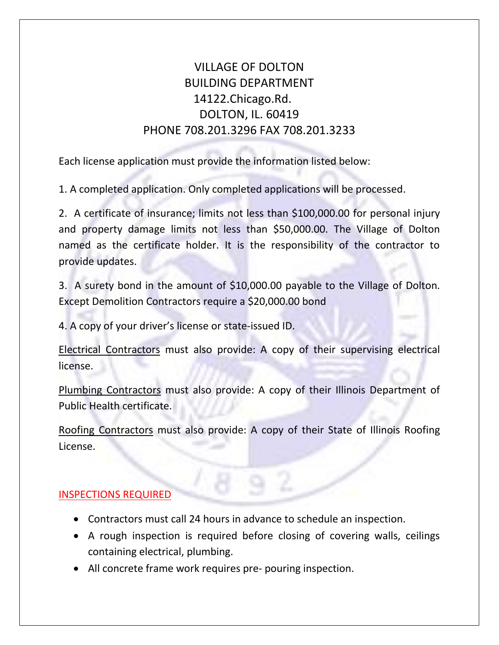## VILLAGE OF DOLTON BUILDING DEPARTMENT 14122.Chicago.Rd. DOLTON, IL. 60419 PHONE 708.201.3296 FAX 708.201.3233

Each license application must provide the information listed below:

1. A completed application. Only completed applications will be processed.

2. A certificate of insurance; limits not less than \$100,000.00 for personal injury and property damage limits not less than \$50,000.00. The Village of Dolton named as the certificate holder. It is the responsibility of the contractor to provide updates.

3. A surety bond in the amount of \$10,000.00 payable to the Village of Dolton. Except Demolition Contractors require a \$20,000.00 bond

4. A copy of your driver's license or state-issued ID.

Electrical Contractors must also provide: A copy of their supervising electrical license.

Plumbing Contractors must also provide: A copy of their Illinois Department of Public Health certificate.

Roofing Contractors must also provide: A copy of their State of Illinois Roofing License.

## INSPECTIONS REQUIRED

- Contractors must call 24 hours in advance to schedule an inspection.
- A rough inspection is required before closing of covering walls, ceilings containing electrical, plumbing.
- All concrete frame work requires pre- pouring inspection.